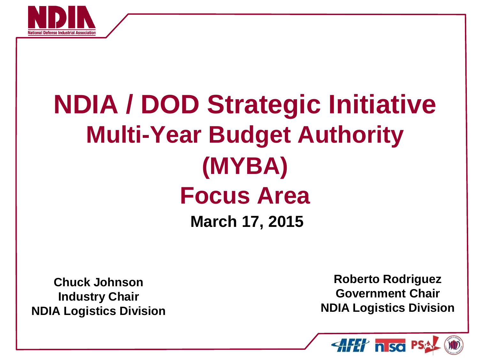

# **NDIA / DOD Strategic Initiative Multi-Year Budget Authority (MYBA) Focus Area March 17, 2015**

**Chuck Johnson Industry Chair NDIA Logistics Division**

**Roberto Rodriguez Government Chair NDIA Logistics Division**

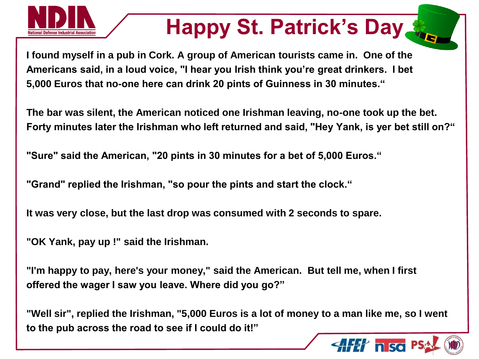

# **Happy St. Patrick's Day**

**I found myself in a pub in Cork. A group of American tourists came in. One of the Americans said, in a loud voice, "I hear you Irish think you're great drinkers. I bet 5,000 Euros that no-one here can drink 20 pints of Guinness in 30 minutes."**

**The bar was silent, the American noticed one Irishman leaving, no-one took up the bet. Forty minutes later the Irishman who left returned and said, "Hey Yank, is yer bet still on?"**

**"Sure" said the American, "20 pints in 30 minutes for a bet of 5,000 Euros."**

**"Grand" replied the Irishman, "so pour the pints and start the clock."**

**It was very close, but the last drop was consumed with 2 seconds to spare.**

**"OK Yank, pay up !" said the Irishman.**

**"I'm happy to pay, here's your money," said the American. But tell me, when I first offered the wager I saw you leave. Where did you go?"**

**"Well sir", replied the Irishman, "5,000 Euros is a lot of money to a man like me, so I went to the pub across the road to see if I could do it!"**

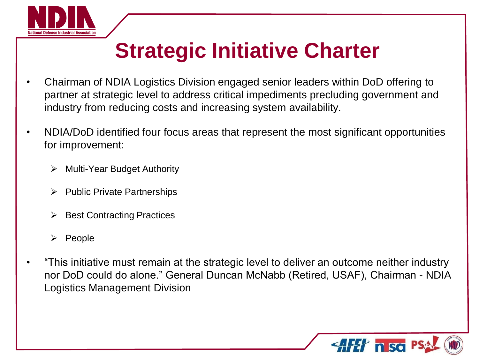

## **Strategic Initiative Charter**

- Chairman of NDIA Logistics Division engaged senior leaders within DoD offering to partner at strategic level to address critical impediments precluding government and industry from reducing costs and increasing system availability.
- NDIA/DoD identified four focus areas that represent the most significant opportunities for improvement:
	- Multi-Year Budget Authority
	- Public Private Partnerships
	- Best Contracting Practices
	- $\triangleright$  People
- "This initiative must remain at the strategic level to deliver an outcome neither industry nor DoD could do alone." General Duncan McNabb (Retired, USAF), Chairman - NDIA Logistics Management Division

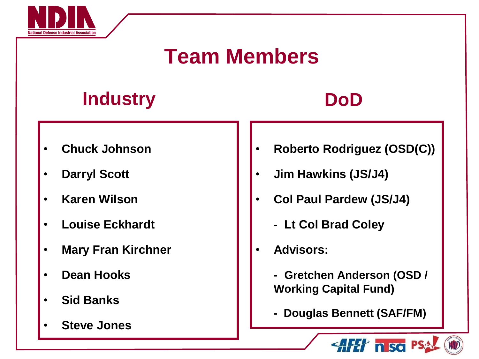

### **Team Members**

#### **Industry DoD**

- **Chuck Johnson**
- **Darryl Scott**
- **Karen Wilson**
- **Louise Eckhardt**
- **Mary Fran Kirchner**
- **Dean Hooks**
- **Sid Banks**
- **Steve Jones**
- **Roberto Rodriguez (OSD(C))**
- **Jim Hawkins (JS/J4)**
- **Col Paul Pardew (JS/J4)**
	- **Lt Col Brad Coley**
- **Advisors:**
	- **Gretchen Anderson (OSD / Working Capital Fund)**
	- **Douglas Bennett (SAF/FM)**

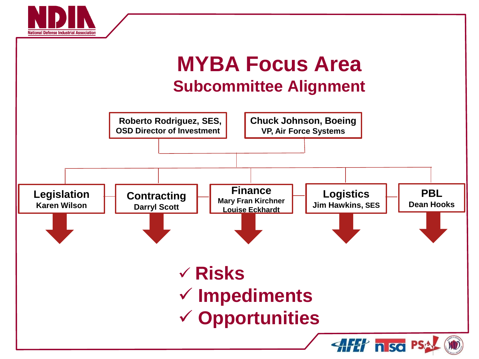



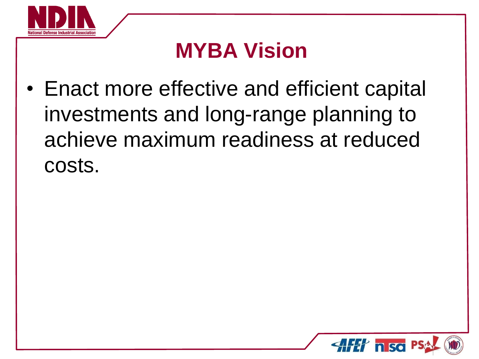

### **MYBA Vision**

• Enact more effective and efficient capital investments and long-range planning to achieve maximum readiness at reduced costs.

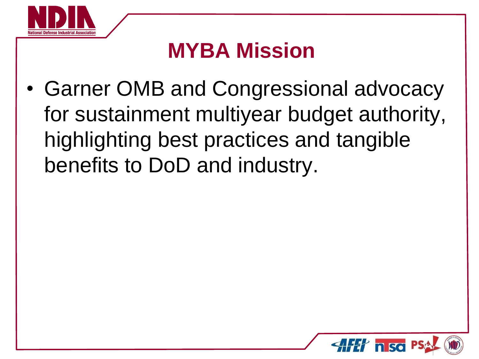

### **MYBA Mission**

• Garner OMB and Congressional advocacy for sustainment multiyear budget authority, highlighting best practices and tangible benefits to DoD and industry.

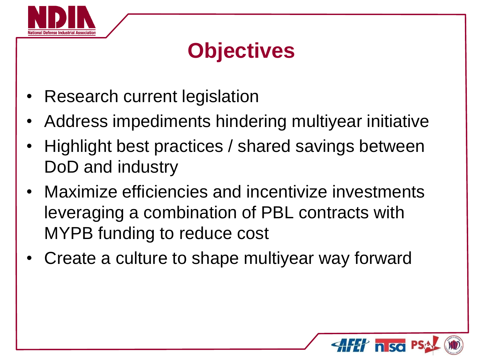

### **Objectives**

- Research current legislation
- Address impediments hindering multiyear initiative
- Highlight best practices / shared savings between DoD and industry
- Maximize efficiencies and incentivize investments leveraging a combination of PBL contracts with MYPB funding to reduce cost
- Create a culture to shape multiyear way forward

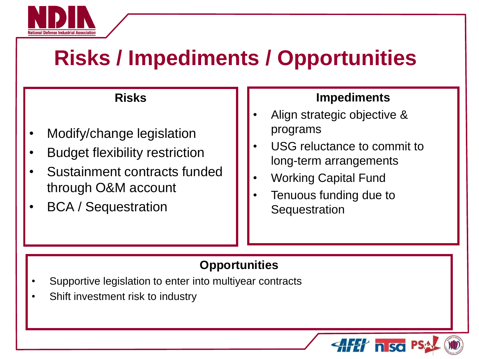

### **Risks / Impediments / Opportunities**

#### **Risks**

- Modify/change legislation
- **Budget flexibility restriction**
- Sustainment contracts funded through O&M account
- BCA / Sequestration

#### **Impediments**

- Align strategic objective & programs
- USG reluctance to commit to long-term arrangements
- Working Capital Fund
- Tenuous funding due to **Sequestration**

#### **Opportunities**

- Supportive legislation to enter into multiyear contracts
- Shift investment risk to industry

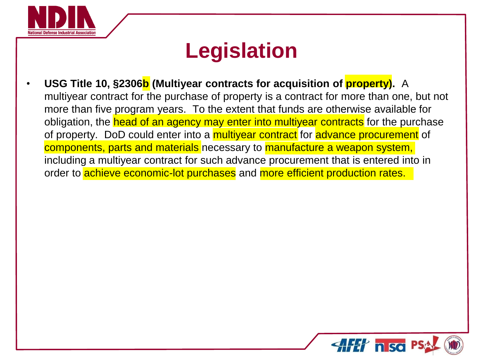

### **Legislation**

• **USG Title 10, §2306b (Multiyear contracts for acquisition of property).** A multiyear contract for the purchase of property is a contract for more than one, but not more than five program years. To the extent that funds are otherwise available for obligation, the head of an agency may enter into multiyear contracts for the purchase of property. DoD could enter into a *multiyear contract* for *advance procurement* of components, parts and materials necessary to manufacture a weapon system, including a multiyear contract for such advance procurement that is entered into in order to **achieve economic-lot purchases** and **more efficient production rates.** 

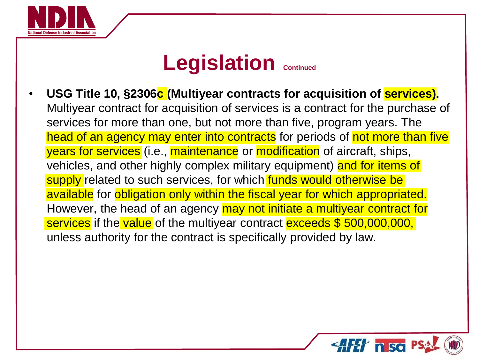

#### **Legislation Continued**

• **USG Title 10, §2306c (Multiyear contracts for acquisition of services).**  Multiyear contract for acquisition of services is a contract for the purchase of services for more than one, but not more than five, program years. The head of an agency may enter into contracts for periods of not more than five years for services (i.e., maintenance or modification of aircraft, ships, vehicles, and other highly complex military equipment) and for items of supply related to such services, for which funds would otherwise be available for obligation only within the fiscal year for which appropriated. However, the head of an agency may not initiate a multiyear contract for services if the value of the multiyear contract exceeds \$500,000,000, unless authority for the contract is specifically provided by law.

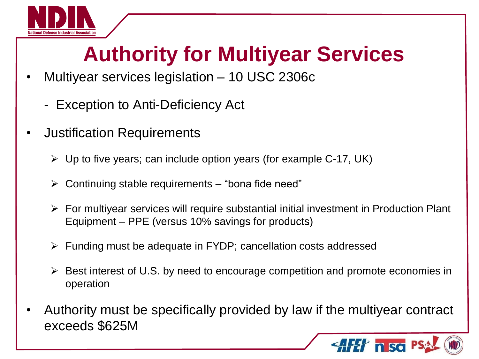

## **Authority for Multiyear Services**

- Multiyear services legislation 10 USC 2306c
	- Exception to Anti-Deficiency Act
- Justification Requirements
	- $\triangleright$  Up to five years; can include option years (for example C-17, UK)
	- $\triangleright$  Continuing stable requirements "bona fide need"
	- $\triangleright$  For multiyear services will require substantial initial investment in Production Plant Equipment – PPE (versus 10% savings for products)
	- $\triangleright$  Funding must be adequate in FYDP; cancellation costs addressed
	- $\triangleright$  Best interest of U.S. by need to encourage competition and promote economies in operation
- Authority must be specifically provided by law if the multiyear contract exceeds \$625M

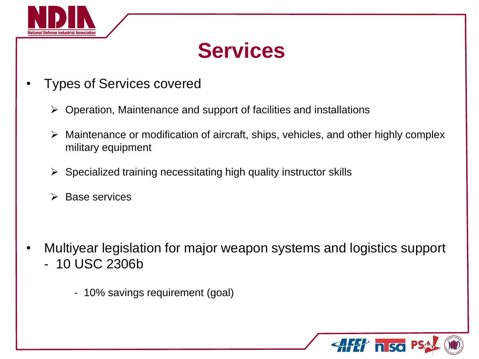

### **Services**

- Types of Services covered
	- $\triangleright$  Operation, Maintenance and support of facilities and installations
	- $\triangleright$  Maintenance or modification of aircraft, ships, vehicles, and other highly complex military equipment
	- $\triangleright$  Specialized training necessitating high quality instructor skills
	- $\triangleright$  Base services

- Multiyear legislation for major weapon systems and logistics support - 10 USC 2306b
	- 10% savings requirement (goal)

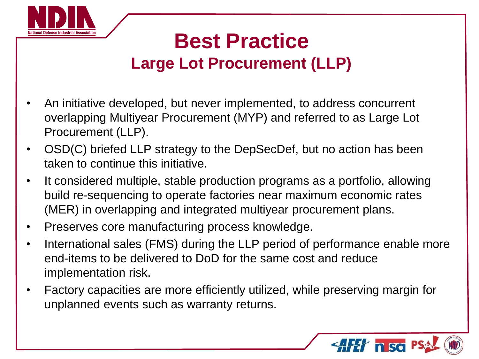

#### **Best Practice Large Lot Procurement (LLP)**

- An initiative developed, but never implemented, to address concurrent overlapping Multiyear Procurement (MYP) and referred to as Large Lot Procurement (LLP).
- OSD(C) briefed LLP strategy to the DepSecDef, but no action has been taken to continue this initiative.
- It considered multiple, stable production programs as a portfolio, allowing build re-sequencing to operate factories near maximum economic rates (MER) in overlapping and integrated multiyear procurement plans.
- Preserves core manufacturing process knowledge.
- International sales (FMS) during the LLP period of performance enable more end-items to be delivered to DoD for the same cost and reduce implementation risk.
- Factory capacities are more efficiently utilized, while preserving margin for unplanned events such as warranty returns.

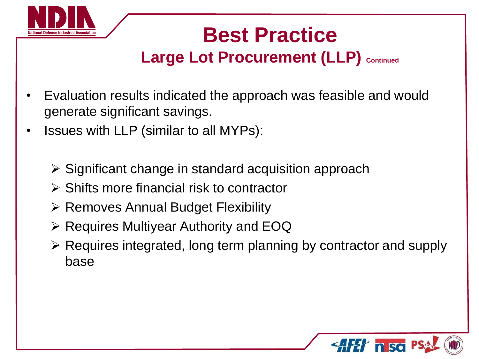

#### **Large Lot Procurement (LLP) Continued**

- Evaluation results indicated the approach was feasible and would generate significant savings.
- Issues with LLP (similar to all MYPs):
	- $\triangleright$  Significant change in standard acquisition approach
	- $\triangleright$  Shifts more financial risk to contractor
	- $\triangleright$  Removes Annual Budget Flexibility
	- $\triangleright$  Requires Multiyear Authority and EOQ
	- Requires integrated, long term planning by contractor and supply base

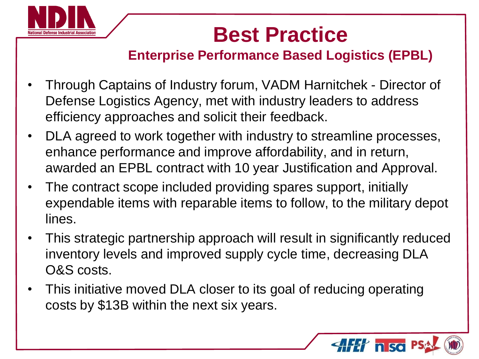

**Enterprise Performance Based Logistics (EPBL)**

- Through Captains of Industry forum, VADM Harnitchek Director of Defense Logistics Agency, met with industry leaders to address efficiency approaches and solicit their feedback.
- DLA agreed to work together with industry to streamline processes, enhance performance and improve affordability, and in return, awarded an EPBL contract with 10 year Justification and Approval.
- The contract scope included providing spares support, initially expendable items with reparable items to follow, to the military depot lines.
- This strategic partnership approach will result in significantly reduced inventory levels and improved supply cycle time, decreasing DLA O&S costs.
- This initiative moved DLA closer to its goal of reducing operating costs by \$13B within the next six years.

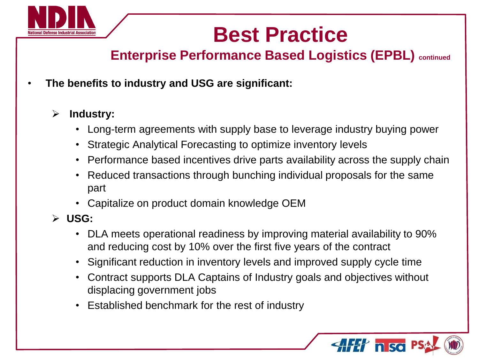

**Enterprise Performance Based Logistics (EPBL) continued**

• **The benefits to industry and USG are significant:** 

#### **Industry:**

- Long-term agreements with supply base to leverage industry buying power
- Strategic Analytical Forecasting to optimize inventory levels
- Performance based incentives drive parts availability across the supply chain
- Reduced transactions through bunching individual proposals for the same part
- Capitalize on product domain knowledge OEM
- **USG:**
	- DLA meets operational readiness by improving material availability to 90% and reducing cost by 10% over the first five years of the contract
	- Significant reduction in inventory levels and improved supply cycle time
	- Contract supports DLA Captains of Industry goals and objectives without displacing government jobs
	- Established benchmark for the rest of industry

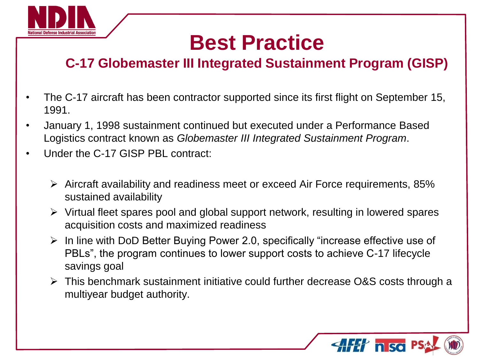

#### **C-17 Globemaster III Integrated Sustainment Program (GISP)**

- The C-17 aircraft has been contractor supported since its first flight on September 15, 1991.
- January 1, 1998 sustainment continued but executed under a Performance Based Logistics contract known as *Globemaster III Integrated Sustainment Program*.
- Under the C-17 GISP PBL contract:
	- $\triangleright$  Aircraft availability and readiness meet or exceed Air Force requirements, 85% sustained availability
	- $\triangleright$  Virtual fleet spares pool and global support network, resulting in lowered spares acquisition costs and maximized readiness
	- $\triangleright$  In line with DoD Better Buying Power 2.0, specifically "increase effective use of PBLs", the program continues to lower support costs to achieve C-17 lifecycle savings goal
	- $\triangleright$  This benchmark sustainment initiative could further decrease O&S costs through a multiyear budget authority.

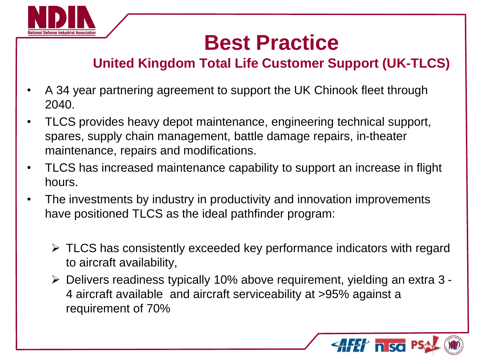

#### **United Kingdom Total Life Customer Support (UK-TLCS)**

- A 34 year partnering agreement to support the UK Chinook fleet through 2040.
- TLCS provides heavy depot maintenance, engineering technical support, spares, supply chain management, battle damage repairs, in-theater maintenance, repairs and modifications.
- TLCS has increased maintenance capability to support an increase in flight hours.
- The investments by industry in productivity and innovation improvements have positioned TLCS as the ideal pathfinder program:
	- $\triangleright$  TLCS has consistently exceeded key performance indicators with regard to aircraft availability,
	- Delivers readiness typically 10% above requirement, yielding an extra 3 4 aircraft available and aircraft serviceability at >95% against a requirement of 70%

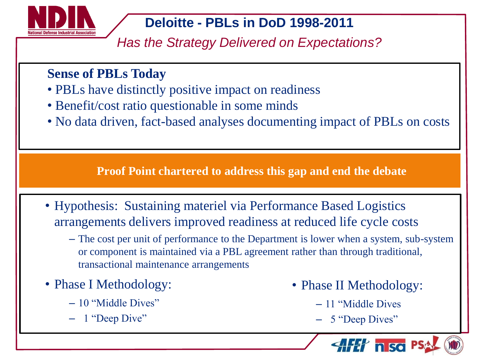

#### **Deloitte - PBLs in DoD 1998-2011**

*Has the Strategy Delivered on Expectations?*

#### **Sense of PBLs Today**

- PBLs have distinctly positive impact on readiness
- Benefit/cost ratio questionable in some minds
- No data driven, fact-based analyses documenting impact of PBLs on costs

**Proof Point chartered to address this gap and end the debate**

- Hypothesis: Sustaining materiel via Performance Based Logistics arrangements delivers improved readiness at reduced life cycle costs
	- The cost per unit of performance to the Department is lower when a system, sub-system or component is maintained via a PBL agreement rather than through traditional, transactional maintenance arrangements
- Phase I Methodology:
	- 10 "Middle Dives"
	- 1 "Deep Dive"
- Phase II Methodology:
	- 11 "Middle Dives
	- 5 "Deep Dives"

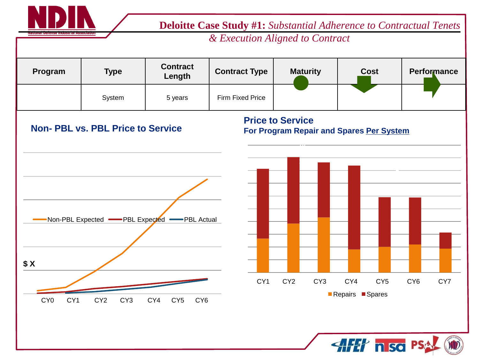

 **Deloitte Case Study #1:** *Substantial Adherence to Contractual Tenets* 

*& Execution Aligned to Contract*

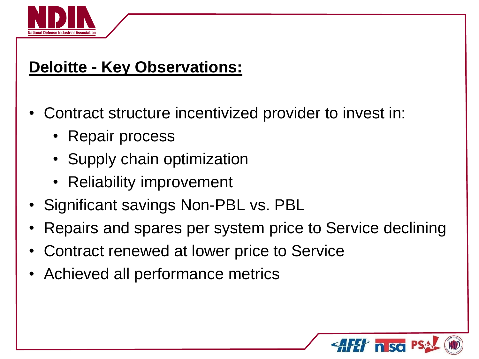

#### **Deloitte - Key Observations:**

- Contract structure incentivized provider to invest in:
	- Repair process
	- Supply chain optimization
	- Reliability improvement
- Significant savings Non-PBL vs. PBL
- Repairs and spares per system price to Service declining
- Contract renewed at lower price to Service
- Achieved all performance metrics

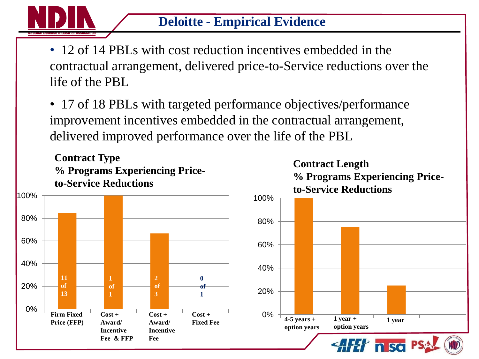

• 12 of 14 PBLs with cost reduction incentives embedded in the contractual arrangement, delivered price-to-Service reductions over the life of the PBL

• 17 of 18 PBLs with targeted performance objectives/performance improvement incentives embedded in the contractual arrangement, delivered improved performance over the life of the PBL

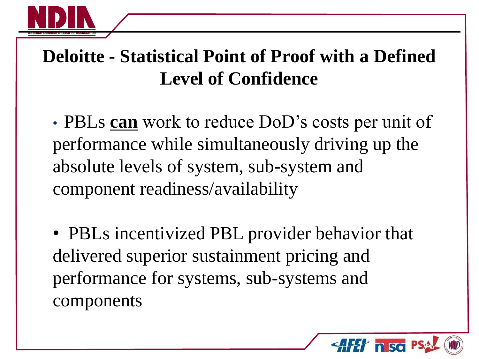

#### **Deloitte - Statistical Point of Proof with a Defined Level of Confidence**

• PBLs **can** work to reduce DoD's costs per unit of performance while simultaneously driving up the absolute levels of system, sub-system and component readiness/availability

• PBLs incentivized PBL provider behavior that delivered superior sustainment pricing and performance for systems, sub-systems and components

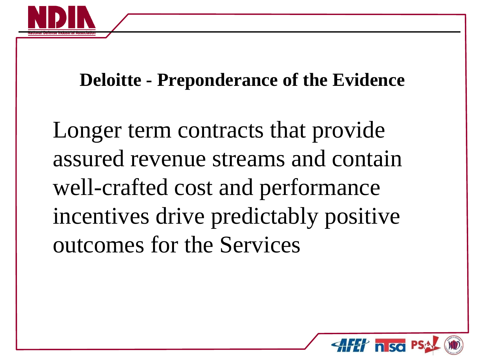

#### **Deloitte - Preponderance of the Evidence**

Longer term contracts that provide assured revenue streams and contain well-crafted cost and performance incentives drive predictably positive outcomes for the Services

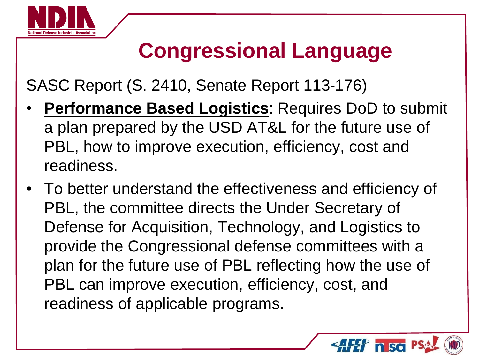

### **Congressional Language**

SASC Report (S. 2410, Senate Report 113-176)

- **Performance Based Logistics: Requires DoD to submit** a plan prepared by the USD AT&L for the future use of PBL, how to improve execution, efficiency, cost and readiness.
- To better understand the effectiveness and efficiency of PBL, the committee directs the Under Secretary of Defense for Acquisition, Technology, and Logistics to provide the Congressional defense committees with a plan for the future use of PBL reflecting how the use of PBL can improve execution, efficiency, cost, and readiness of applicable programs.

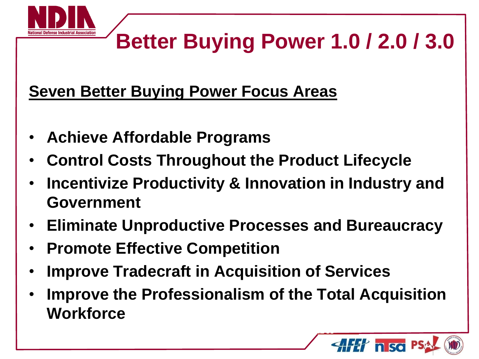

### **Better Buying Power 1.0 / 2.0 / 3.0**

#### **Seven Better Buying Power Focus Areas**

- **Achieve Affordable Programs**
- **Control Costs Throughout the Product Lifecycle**
- **Incentivize Productivity & Innovation in Industry and Government**
- **Eliminate Unproductive Processes and Bureaucracy**
- **Promote Effective Competition**
- **Improve Tradecraft in Acquisition of Services**
- *Shared Risk, Shared Value* • **Improve the Professionalism of the Total Acquisition Workforce**

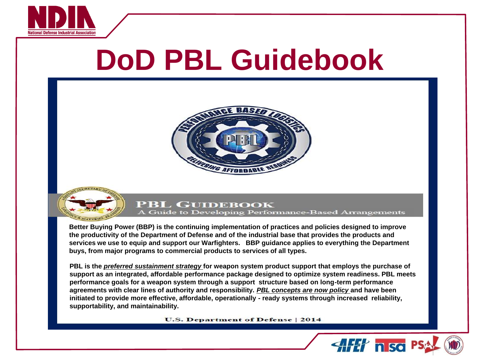

# **DoD PBL Guidebook**





#### **PBL GUIDEBOOK**

A Guide to Developing Performance-Based Arrangements

**Better Buying Power (BBP) is the continuing implementation of practices and policies designed to improve the productivity of the Department of Defense and of the industrial base that provides the products and services we use to equip and support our Warfighters. BBP guidance applies to everything the Department buys, from major programs to commercial products to services of all types.** 

**PBL is the** *preferred sustainment strategy* **for weapon system product support that employs the purchase of support as an integrated, affordable performance package designed to optimize system readiness. PBL meets performance goals for a weapon system through a support structure based on long-term performance agreements with clear lines of authority and responsibility.** *PBL concepts are now policy* **and have been initiated to provide more effective, affordable, operationally - ready systems through increased reliability, supportability, and maintainability.**

**U.S. Department of Defense | 2014** 

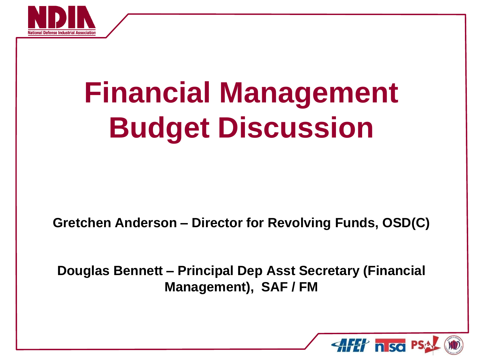

# **Financial Management Budget Discussion**

**Gretchen Anderson – Director for Revolving Funds, OSD(C)**

**Douglas Bennett – Principal Dep Asst Secretary (Financial Management), SAF / FM**

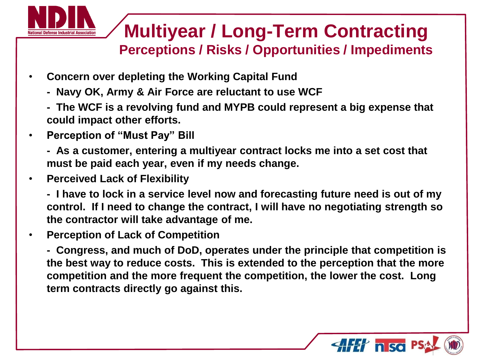

#### **Multiyear / Long-Term Contracting Perceptions / Risks / Opportunities / Impediments**

- **Concern over depleting the Working Capital Fund**
	- **Navy OK, Army & Air Force are reluctant to use WCF**
	- **The WCF is a revolving fund and MYPB could represent a big expense that could impact other efforts.**
- **Perception of "Must Pay" Bill**
	- **As a customer, entering a multiyear contract locks me into a set cost that must be paid each year, even if my needs change.**
- **Perceived Lack of Flexibility**
	- **I have to lock in a service level now and forecasting future need is out of my control. If I need to change the contract, I will have no negotiating strength so the contractor will take advantage of me.**
- **Perception of Lack of Competition**

**- Congress, and much of DoD, operates under the principle that competition is the best way to reduce costs. This is extended to the perception that the more competition and the more frequent the competition, the lower the cost. Long term contracts directly go against this.** 

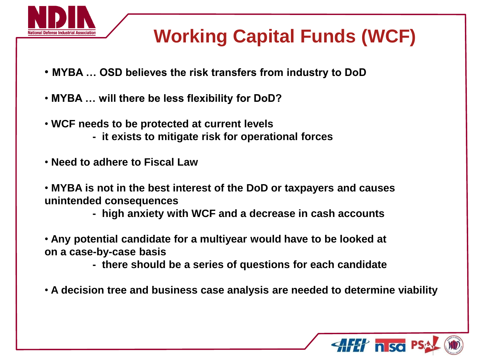

#### **Working Capital Funds (WCF)**

- **MYBA … OSD believes the risk transfers from industry to DoD**
- **MYBA … will there be less flexibility for DoD?**
- **WCF needs to be protected at current levels - it exists to mitigate risk for operational forces**
- **Need to adhere to Fiscal Law**
- **MYBA is not in the best interest of the DoD or taxpayers and causes unintended consequences**
	- **high anxiety with WCF and a decrease in cash accounts**
- **Any potential candidate for a multiyear would have to be looked at on a case-by-case basis**
	- **there should be a series of questions for each candidate**
- **A decision tree and business case analysis are needed to determine viability**

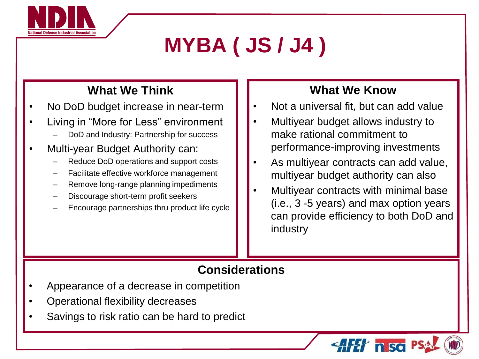

## **MYBA ( JS / J4 )**

#### **What We Think**

- No DoD budget increase in near-term
- Living in "More for Less" environment
	- DoD and Industry: Partnership for success
- Multi-year Budget Authority can:
	- Reduce DoD operations and support costs
	- Facilitate effective workforce management
	- Remove long-range planning impediments
	- Discourage short-term profit seekers
	- Encourage partnerships thru product life cycle

#### **What We Know**

- Not a universal fit, but can add value
- Multiyear budget allows industry to make rational commitment to performance-improving investments
- As multiyear contracts can add value, multiyear budget authority can also
- Multiyear contracts with minimal base (i.e., 3 -5 years) and max option years can provide efficiency to both DoD and industry

 $4H$  nso

#### **Considerations**

- Appearance of a decrease in competition
- Operational flexibility decreases
- Savings to risk ratio can be hard to predict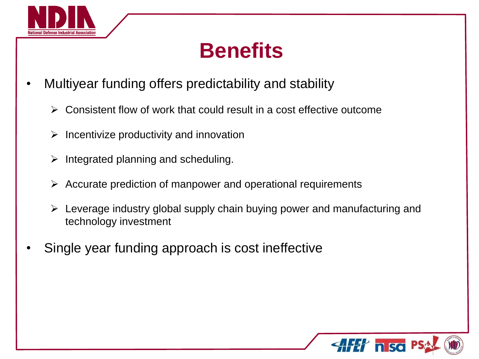

### **Benefits**

- Multiyear funding offers predictability and stability
	- Consistent flow of work that could result in a cost effective outcome
	- $\triangleright$  Incentivize productivity and innovation
	- $\triangleright$  Integrated planning and scheduling.
	- $\triangleright$  Accurate prediction of manpower and operational requirements
	- $\triangleright$  Leverage industry global supply chain buying power and manufacturing and technology investment
- Single year funding approach is cost ineffective

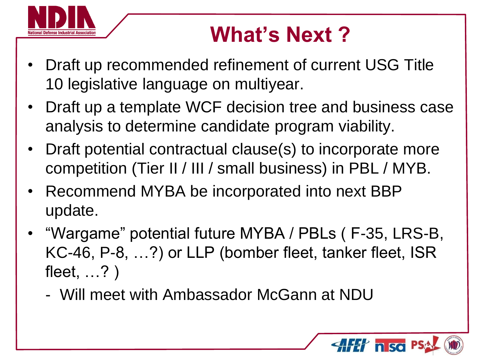

## **What's Next ?**

- Draft up recommended refinement of current USG Title 10 legislative language on multiyear.
- Draft up a template WCF decision tree and business case analysis to determine candidate program viability.
- Draft potential contractual clause(s) to incorporate more competition (Tier II / III / small business) in PBL / MYB.
- Recommend MYBA be incorporated into next BBP update.
- "Wargame" potential future MYBA / PBLs ( F-35, LRS-B, KC-46, P-8, …?) or LLP (bomber fleet, tanker fleet, ISR fleet, …? )
	- Will meet with Ambassador McGann at NDU